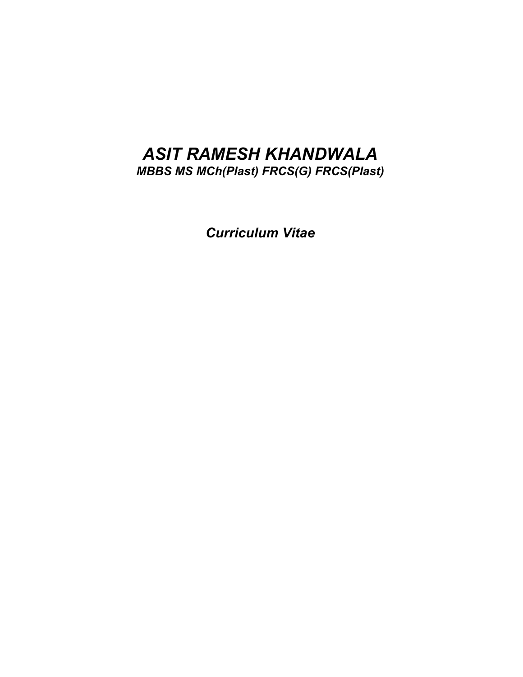# *ASIT RAMESH KHANDWALA*

*MBBS MS MCh(Plast) FRCS(G) FRCS(Plast)*

*Curriculum Vitae*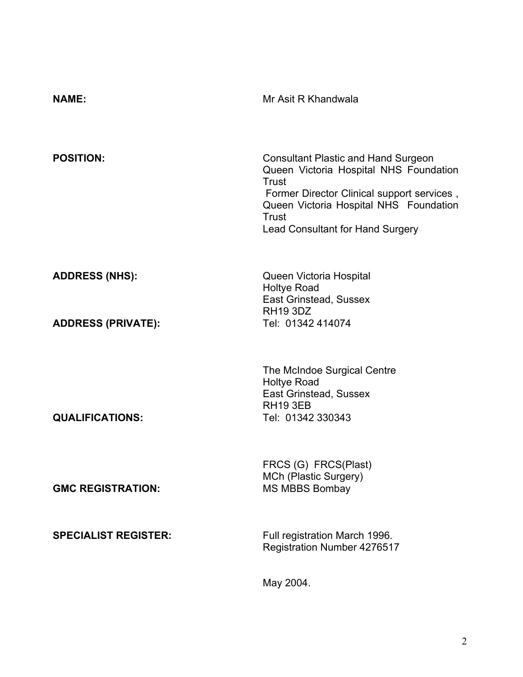| <b>NAME:</b>                | Mr Asit R Khandwala                                                                                                                                                                                                                |
|-----------------------------|------------------------------------------------------------------------------------------------------------------------------------------------------------------------------------------------------------------------------------|
| <b>POSITION:</b>            | <b>Consultant Plastic and Hand Surgeon</b><br>Queen Victoria Hospital NHS Foundation<br>Trust<br>Former Director Clinical support services,<br>Queen Victoria Hospital NHS Foundation<br>Trust<br>Lead Consultant for Hand Surgery |
| <b>ADDRESS (NHS):</b>       | Queen Victoria Hospital<br><b>Holtye Road</b><br>East Grinstead, Sussex<br><b>RH19 3DZ</b>                                                                                                                                         |
| <b>ADDRESS (PRIVATE):</b>   | Tel: 01342 414074                                                                                                                                                                                                                  |
| <b>QUALIFICATIONS:</b>      | The McIndoe Surgical Centre<br><b>Holtye Road</b><br>East Grinstead, Sussex<br><b>RH19 3EB</b><br>Tel: 01342 330343                                                                                                                |
| <b>GMC REGISTRATION:</b>    | FRCS (G) FRCS(Plast)<br>MCh (Plastic Surgery)<br><b>MS MBBS Bombay</b>                                                                                                                                                             |
| <b>SPECIALIST REGISTER:</b> | Full registration March 1996.<br>Registration Number 4276517                                                                                                                                                                       |

May 2004.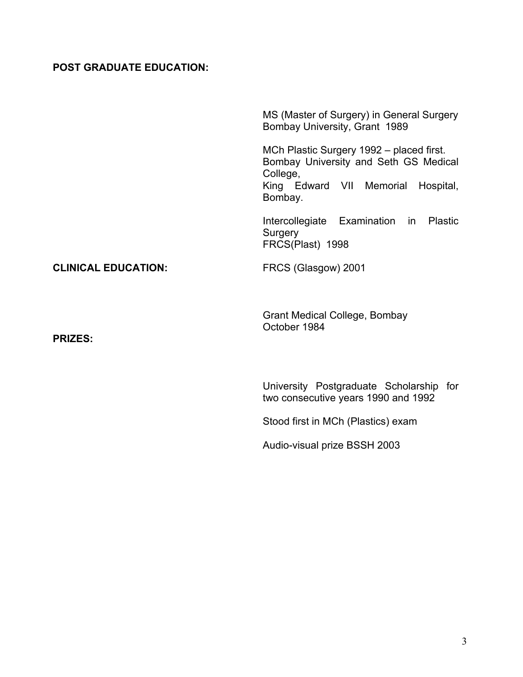## **POST GRADUATE EDUCATION:**

|                            | MS (Master of Surgery) in General Surgery<br>Bombay University, Grant 1989                                                                        |
|----------------------------|---------------------------------------------------------------------------------------------------------------------------------------------------|
|                            | MCh Plastic Surgery 1992 - placed first.<br>Bombay University and Seth GS Medical<br>College,<br>King Edward VII Memorial<br>Hospital,<br>Bombay. |
|                            | Intercollegiate Examination in<br><b>Plastic</b><br>Surgery<br>FRCS(Plast) 1998                                                                   |
| <b>CLINICAL EDUCATION:</b> | FRCS (Glasgow) 2001                                                                                                                               |
| <b>PRIZES:</b>             | <b>Grant Medical College, Bombay</b><br>October 1984                                                                                              |
|                            | University Postgraduate Scholarship for<br>two consecutive years 1990 and 1992                                                                    |
|                            | Stood first in MCh (Plastics) exam                                                                                                                |
|                            | Audio-visual prize BSSH 2003                                                                                                                      |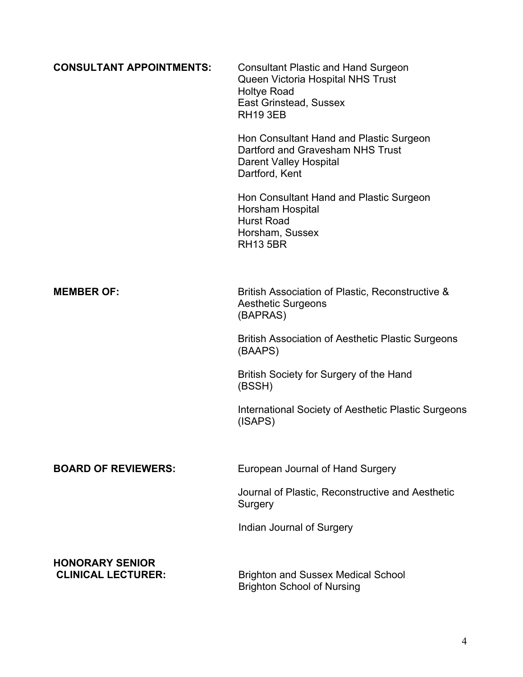| <b>CONSULTANT APPOINTMENTS:</b>                     | <b>Consultant Plastic and Hand Surgeon</b><br>Queen Victoria Hospital NHS Trust<br><b>Holtye Road</b><br>East Grinstead, Sussex<br><b>RH19 3EB</b> |
|-----------------------------------------------------|----------------------------------------------------------------------------------------------------------------------------------------------------|
|                                                     | Hon Consultant Hand and Plastic Surgeon<br>Dartford and Gravesham NHS Trust<br><b>Darent Valley Hospital</b><br>Dartford, Kent                     |
|                                                     | Hon Consultant Hand and Plastic Surgeon<br>Horsham Hospital<br><b>Hurst Road</b><br>Horsham, Sussex<br><b>RH13 5BR</b>                             |
| <b>MEMBER OF:</b>                                   | British Association of Plastic, Reconstructive &<br><b>Aesthetic Surgeons</b><br>(BAPRAS)                                                          |
|                                                     | <b>British Association of Aesthetic Plastic Surgeons</b><br>(BAAPS)                                                                                |
|                                                     | British Society for Surgery of the Hand<br>(BSSH)                                                                                                  |
|                                                     | International Society of Aesthetic Plastic Surgeons<br>(ISAPS)                                                                                     |
| <b>BOARD OF REVIEWERS:</b>                          | European Journal of Hand Surgery                                                                                                                   |
|                                                     | Journal of Plastic, Reconstructive and Aesthetic<br>Surgery                                                                                        |
|                                                     | Indian Journal of Surgery                                                                                                                          |
| <b>HONORARY SENIOR</b><br><b>CLINICAL LECTURER:</b> | <b>Brighton and Sussex Medical School</b><br><b>Brighton School of Nursing</b>                                                                     |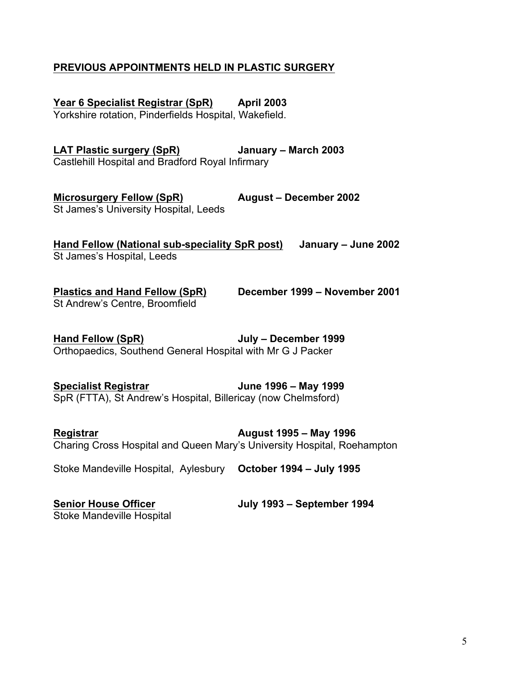### **PREVIOUS APPOINTMENTS HELD IN PLASTIC SURGERY**

**Year 6 Specialist Registrar (SpR) April 2003** 

Yorkshire rotation, Pinderfields Hospital, Wakefield.

**LAT Plastic surgery (SpR) January – March 2003** Castlehill Hospital and Bradford Royal Infirmary

**Microsurgery Fellow (SpR) August – December 2002** St James's University Hospital, Leeds

**Hand Fellow (National sub-speciality SpR post) January – June 2002** St James's Hospital, Leeds

**Plastics and Hand Fellow (SpR) December 1999 – November 2001** St Andrew's Centre, Broomfield

**Hand Fellow (SpR) July – December 1999** Orthopaedics, Southend General Hospital with Mr G J Packer

**Specialist Registrar June 1996 – May 1999** SpR (FTTA), St Andrew's Hospital, Billericay (now Chelmsford)

**Registrar August 1995 – May 1996** Charing Cross Hospital and Queen Mary's University Hospital, Roehampton

Stoke Mandeville Hospital, Aylesbury **October 1994 – July 1995**

Stoke Mandeville Hospital

**Senior House Officer July 1993 – September 1994**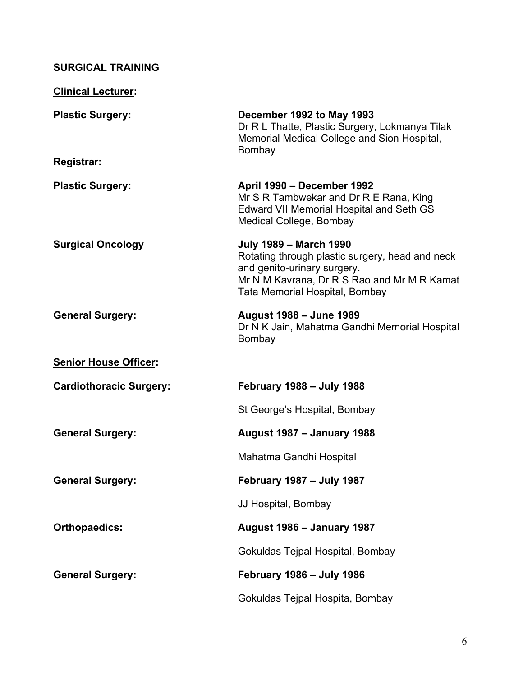## **SURGICAL TRAINING**

| <b>Clinical Lecturer:</b>      |                                                                                                                                                                                                  |
|--------------------------------|--------------------------------------------------------------------------------------------------------------------------------------------------------------------------------------------------|
| <b>Plastic Surgery:</b>        | December 1992 to May 1993<br>Dr R L Thatte, Plastic Surgery, Lokmanya Tilak<br>Memorial Medical College and Sion Hospital,<br>Bombay                                                             |
| Registrar:                     |                                                                                                                                                                                                  |
| <b>Plastic Surgery:</b>        | April 1990 - December 1992<br>Mr S R Tambwekar and Dr R E Rana, King<br><b>Edward VII Memorial Hospital and Seth GS</b><br>Medical College, Bombay                                               |
| <b>Surgical Oncology</b>       | <b>July 1989 - March 1990</b><br>Rotating through plastic surgery, head and neck<br>and genito-urinary surgery.<br>Mr N M Kavrana, Dr R S Rao and Mr M R Kamat<br>Tata Memorial Hospital, Bombay |
| <b>General Surgery:</b>        | <b>August 1988 - June 1989</b><br>Dr N K Jain, Mahatma Gandhi Memorial Hospital<br>Bombay                                                                                                        |
| <b>Senior House Officer:</b>   |                                                                                                                                                                                                  |
| <b>Cardiothoracic Surgery:</b> | February 1988 - July 1988                                                                                                                                                                        |
|                                | St George's Hospital, Bombay                                                                                                                                                                     |
| <b>General Surgery:</b>        | <b>August 1987 - January 1988</b>                                                                                                                                                                |
|                                | Mahatma Gandhi Hospital                                                                                                                                                                          |
| <b>General Surgery:</b>        | <b>February 1987 - July 1987</b>                                                                                                                                                                 |
|                                | JJ Hospital, Bombay                                                                                                                                                                              |
| <b>Orthopaedics:</b>           | <b>August 1986 - January 1987</b>                                                                                                                                                                |
|                                | Gokuldas Tejpal Hospital, Bombay                                                                                                                                                                 |
| <b>General Surgery:</b>        | <b>February 1986 - July 1986</b>                                                                                                                                                                 |
|                                | Gokuldas Tejpal Hospita, Bombay                                                                                                                                                                  |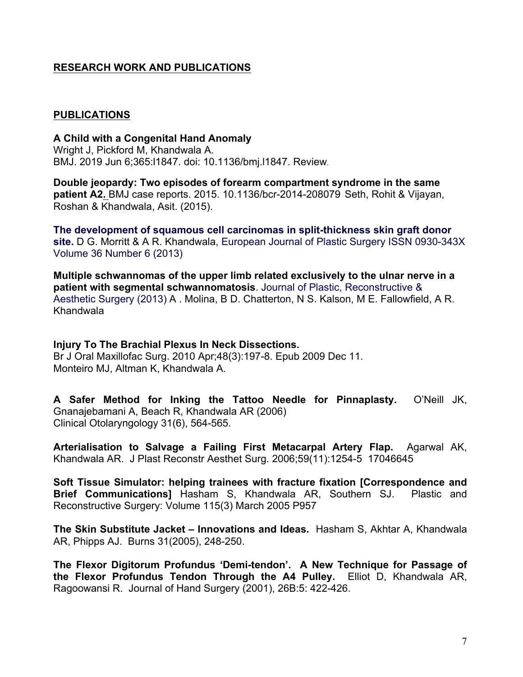### **RESEARCH WORK AND PUBLICATIONS**

#### **PUBLICATIONS**

**A Child with a Congenital Hand Anomaly** Wright J, Pickford M, Khandwala A. BMJ. 2019 Jun 6;365:l1847. doi: 10.1136/bmj.l1847. Review.

**Double jeopardy: Two episodes of forearm compartment syndrome in the same patient A2.** BMJ case reports. 2015. 10.1136/bcr-2014-208079 Seth, Rohit & Vijayan, Roshan & Khandwala, Asit. (2015).

**The development of squamous cell carcinomas in split-thickness skin graft donor site.** D G. Morritt & A R. Khandwala, European Journal of Plastic Surgery ISSN 0930-343X Volume 36 Number 6 (2013)

**Multiple schwannomas of the upper limb related exclusively to the ulnar nerve in a patient with segmental schwannomatosis**. Journal of Plastic, Reconstructive & Aesthetic Surgery (2013) A . Molina, B D. Chatterton, N S. Kalson, M E. Fallowfield, A R. Khandwala

**Injury To The Brachial Plexus In Neck Dissections.**

Br J Oral Maxillofac Surg. 2010 Apr;48(3):197-8. Epub 2009 Dec 11. Monteiro MJ, Altman K, Khandwala A.

**A Safer Method for Inking the Tattoo Needle for Pinnaplasty.**O'Neill JK, Gnanajebamani A, Beach R, Khandwala AR (2006) Clinical Otolaryngology 31(6), 564-565.

**Arterialisation to Salvage a Failing First Metacarpal Artery Flap.**Agarwal AK, Khandwala AR. J Plast Reconstr Aesthet Surg. 2006;59(11):1254-5 17046645

**Soft Tissue Simulator: helping trainees with fracture fixation [Correspondence and Brief Communications]** Hasham S, Khandwala AR, Southern SJ. Plastic and Reconstructive Surgery: Volume 115(3) March 2005 P957

**The Skin Substitute Jacket – Innovations and Ideas.** Hasham S, Akhtar A, Khandwala AR, Phipps AJ. Burns 31(2005), 248-250.

**The Flexor Digitorum Profundus 'Demi-tendon'. A New Technique for Passage of the Flexor Profundus Tendon Through the A4 Pulley.** Elliot D, Khandwala AR, Ragoowansi R. Journal of Hand Surgery (2001), 26B:5: 422-426.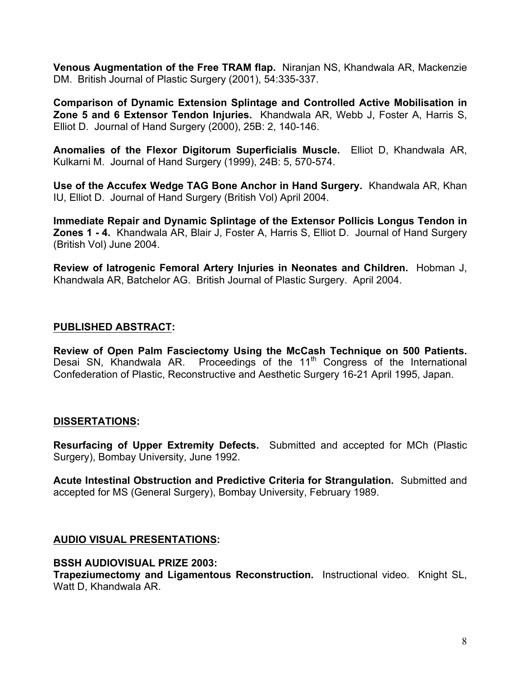**Venous Augmentation of the Free TRAM flap.** Niranjan NS, Khandwala AR, Mackenzie DM. British Journal of Plastic Surgery (2001), 54:335-337.

**Comparison of Dynamic Extension Splintage and Controlled Active Mobilisation in Zone 5 and 6 Extensor Tendon Injuries.** Khandwala AR, Webb J, Foster A, Harris S, Elliot D. Journal of Hand Surgery (2000), 25B: 2, 140-146.

**Anomalies of the Flexor Digitorum Superficialis Muscle.** Elliot D, Khandwala AR, Kulkarni M. Journal of Hand Surgery (1999), 24B: 5, 570-574.

**Use of the Accufex Wedge TAG Bone Anchor in Hand Surgery.** Khandwala AR, Khan IU, Elliot D. Journal of Hand Surgery (British Vol) April 2004.

**Immediate Repair and Dynamic Splintage of the Extensor Pollicis Longus Tendon in Zones 1 - 4.** Khandwala AR, Blair J, Foster A, Harris S, Elliot D. Journal of Hand Surgery (British Vol) June 2004.

**Review of Iatrogenic Femoral Artery Injuries in Neonates and Children.** Hobman J, Khandwala AR, Batchelor AG. British Journal of Plastic Surgery. April 2004.

#### **PUBLISHED ABSTRACT:**

**Review of Open Palm Fasciectomy Using the McCash Technique on 500 Patients.** Desai SN, Khandwala AR. Proceedings of the 11<sup>th</sup> Congress of the International Confederation of Plastic, Reconstructive and Aesthetic Surgery 16-21 April 1995, Japan.

#### **DISSERTATIONS:**

**Resurfacing of Upper Extremity Defects.** Submitted and accepted for MCh (Plastic Surgery), Bombay University, June 1992.

**Acute Intestinal Obstruction and Predictive Criteria for Strangulation.** Submitted and accepted for MS (General Surgery), Bombay University, February 1989.

#### **AUDIO VISUAL PRESENTATIONS:**

#### **BSSH AUDIOVISUAL PRIZE 2003:**

**Trapeziumectomy and Ligamentous Reconstruction.** Instructional video. Knight SL, Watt D, Khandwala AR.